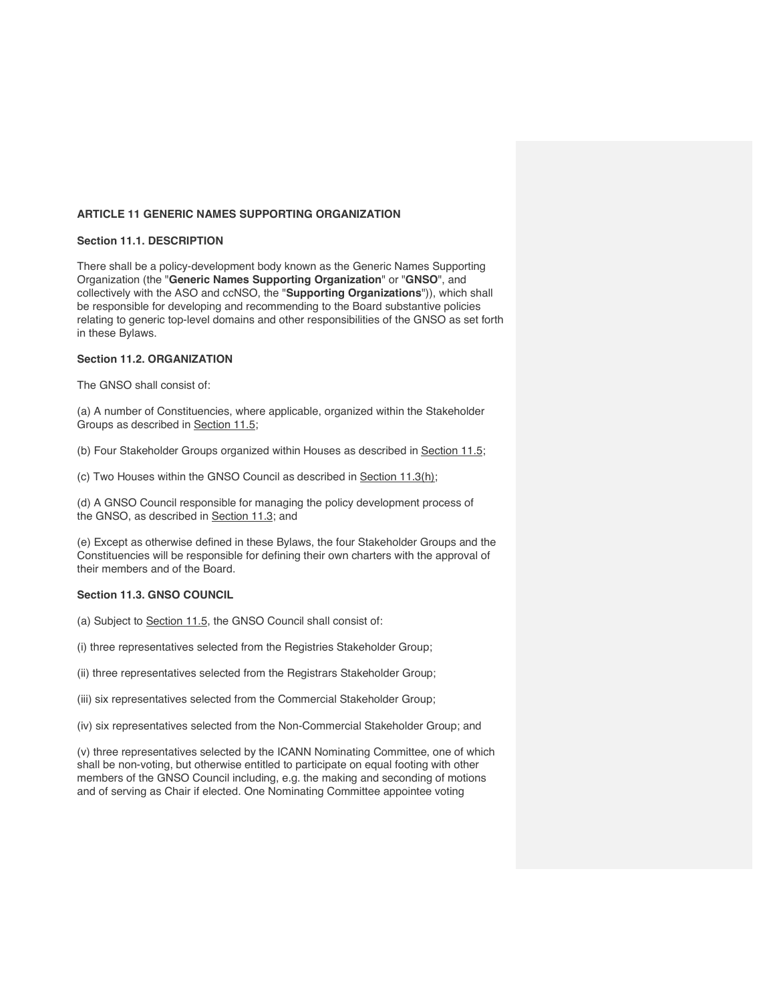# **ARTICLE 11 GENERIC NAMES SUPPORTING ORGANIZATION**

### **Section 11.1. DESCRIPTION**

There shall be a policy-development body known as the Generic Names Supporting Organization (the "**Generic Names Supporting Organization**" or "**GNSO**", and collectively with the ASO and ccNSO, the "**Supporting Organizations**")), which shall be responsible for developing and recommending to the Board substantive policies relating to generic top-level domains and other responsibilities of the GNSO as set forth in these Bylaws.

# **Section 11.2. ORGANIZATION**

The GNSO shall consist of:

(a) A number of Constituencies, where applicable, organized within the Stakeholder Groups as described in Section 11.5;

(b) Four Stakeholder Groups organized within Houses as described in Section 11.5;

(c) Two Houses within the GNSO Council as described in Section 11.3(h);

(d) A GNSO Council responsible for managing the policy development process of the GNSO, as described in **Section 11.3**; and

(e) Except as otherwise defined in these Bylaws, the four Stakeholder Groups and the Constituencies will be responsible for defining their own charters with the approval of their members and of the Board.

# **Section 11.3. GNSO COUNCIL**

(a) Subject to Section 11.5, the GNSO Council shall consist of:

(i) three representatives selected from the Registries Stakeholder Group;

(ii) three representatives selected from the Registrars Stakeholder Group;

(iii) six representatives selected from the Commercial Stakeholder Group;

(iv) six representatives selected from the Non-Commercial Stakeholder Group; and

(v) three representatives selected by the ICANN Nominating Committee, one of which shall be non-voting, but otherwise entitled to participate on equal footing with other members of the GNSO Council including, e.g. the making and seconding of motions and of serving as Chair if elected. One Nominating Committee appointee voting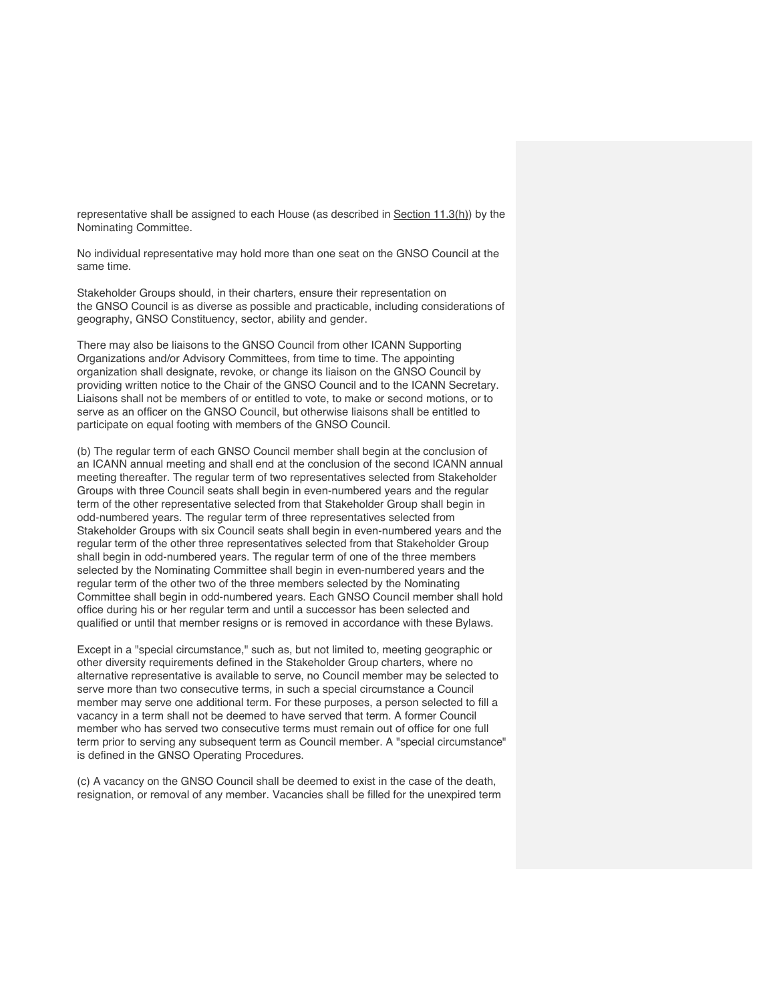representative shall be assigned to each House (as described in Section 11.3(h)) by the Nominating Committee.

No individual representative may hold more than one seat on the GNSO Council at the same time.

Stakeholder Groups should, in their charters, ensure their representation on the GNSO Council is as diverse as possible and practicable, including considerations of geography, GNSO Constituency, sector, ability and gender.

There may also be liaisons to the GNSO Council from other ICANN Supporting Organizations and/or Advisory Committees, from time to time. The appointing organization shall designate, revoke, or change its liaison on the GNSO Council by providing written notice to the Chair of the GNSO Council and to the ICANN Secretary. Liaisons shall not be members of or entitled to vote, to make or second motions, or to serve as an officer on the GNSO Council, but otherwise liaisons shall be entitled to participate on equal footing with members of the GNSO Council.

(b) The regular term of each GNSO Council member shall begin at the conclusion of an ICANN annual meeting and shall end at the conclusion of the second ICANN annual meeting thereafter. The regular term of two representatives selected from Stakeholder Groups with three Council seats shall begin in even-numbered years and the regular term of the other representative selected from that Stakeholder Group shall begin in odd-numbered years. The regular term of three representatives selected from Stakeholder Groups with six Council seats shall begin in even-numbered years and the regular term of the other three representatives selected from that Stakeholder Group shall begin in odd-numbered years. The regular term of one of the three members selected by the Nominating Committee shall begin in even-numbered years and the regular term of the other two of the three members selected by the Nominating Committee shall begin in odd-numbered years. Each GNSO Council member shall hold office during his or her regular term and until a successor has been selected and qualified or until that member resigns or is removed in accordance with these Bylaws.

Except in a "special circumstance," such as, but not limited to, meeting geographic or other diversity requirements defined in the Stakeholder Group charters, where no alternative representative is available to serve, no Council member may be selected to serve more than two consecutive terms, in such a special circumstance a Council member may serve one additional term. For these purposes, a person selected to fill a vacancy in a term shall not be deemed to have served that term. A former Council member who has served two consecutive terms must remain out of office for one full term prior to serving any subsequent term as Council member. A "special circumstance" is defined in the GNSO Operating Procedures.

(c) A vacancy on the GNSO Council shall be deemed to exist in the case of the death, resignation, or removal of any member. Vacancies shall be filled for the unexpired term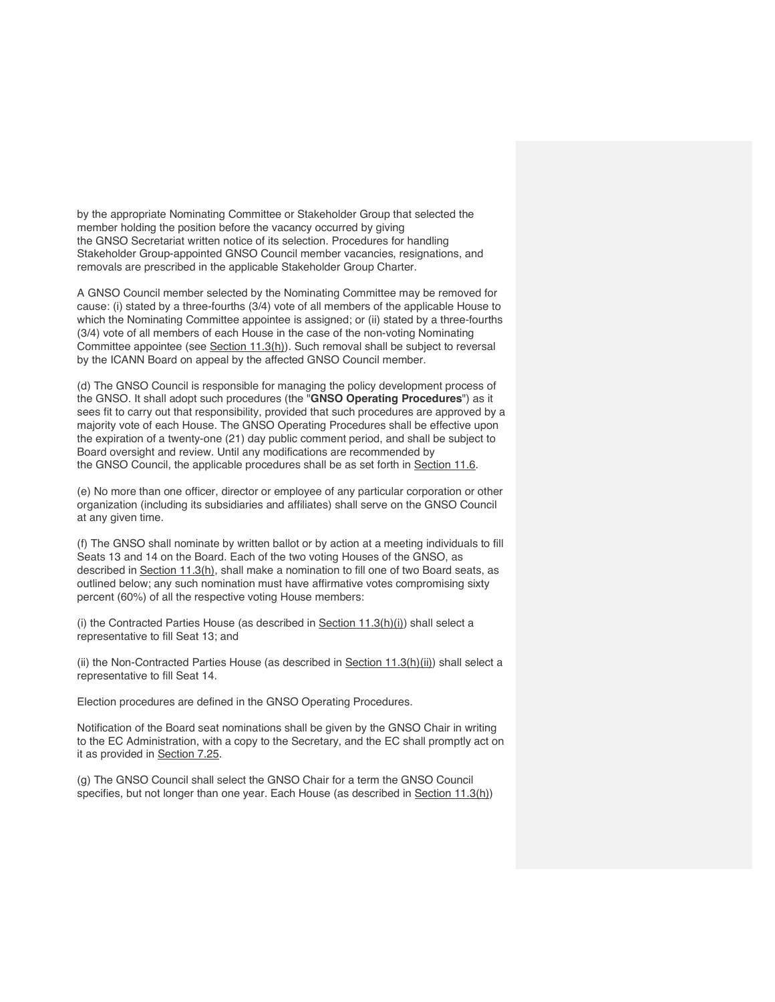by the appropriate Nominating Committee or Stakeholder Group that selected the member holding the position before the vacancy occurred by giving the GNSO Secretariat written notice of its selection. Procedures for handling Stakeholder Group-appointed GNSO Council member vacancies, resignations, and removals are prescribed in the applicable Stakeholder Group Charter.

A GNSO Council member selected by the Nominating Committee may be removed for cause: (i) stated by a three-fourths (3/4) vote of all members of the applicable House to which the Nominating Committee appointee is assigned; or (ii) stated by a three-fourths (3/4) vote of all members of each House in the case of the non-voting Nominating Committee appointee (see Section 11.3(h)). Such removal shall be subject to reversal by the ICANN Board on appeal by the affected GNSO Council member.

(d) The GNSO Council is responsible for managing the policy development process of the GNSO. It shall adopt such procedures (the "**GNSO Operating Procedures**") as it sees fit to carry out that responsibility, provided that such procedures are approved by a majority vote of each House. The GNSO Operating Procedures shall be effective upon the expiration of a twenty-one (21) day public comment period, and shall be subject to Board oversight and review. Until any modifications are recommended by the GNSO Council, the applicable procedures shall be as set forth in Section 11.6.

(e) No more than one officer, director or employee of any particular corporation or other organization (including its subsidiaries and affiliates) shall serve on the GNSO Council at any given time.

(f) The GNSO shall nominate by written ballot or by action at a meeting individuals to fill Seats 13 and 14 on the Board. Each of the two voting Houses of the GNSO, as described in Section 11.3(h), shall make a nomination to fill one of two Board seats, as outlined below; any such nomination must have affirmative votes compromising sixty percent (60%) of all the respective voting House members:

(i) the Contracted Parties House (as described in  $Section 11.3(h)(i)$ ) shall select a representative to fill Seat 13; and

(ii) the Non-Contracted Parties House (as described in Section 11.3(h)(ii)) shall select a representative to fill Seat 14.

Election procedures are defined in the GNSO Operating Procedures.

Notification of the Board seat nominations shall be given by the GNSO Chair in writing to the EC Administration, with a copy to the Secretary, and the EC shall promptly act on it as provided in Section 7.25.

(g) The GNSO Council shall select the GNSO Chair for a term the GNSO Council specifies, but not longer than one year. Each House (as described in Section 11.3(h))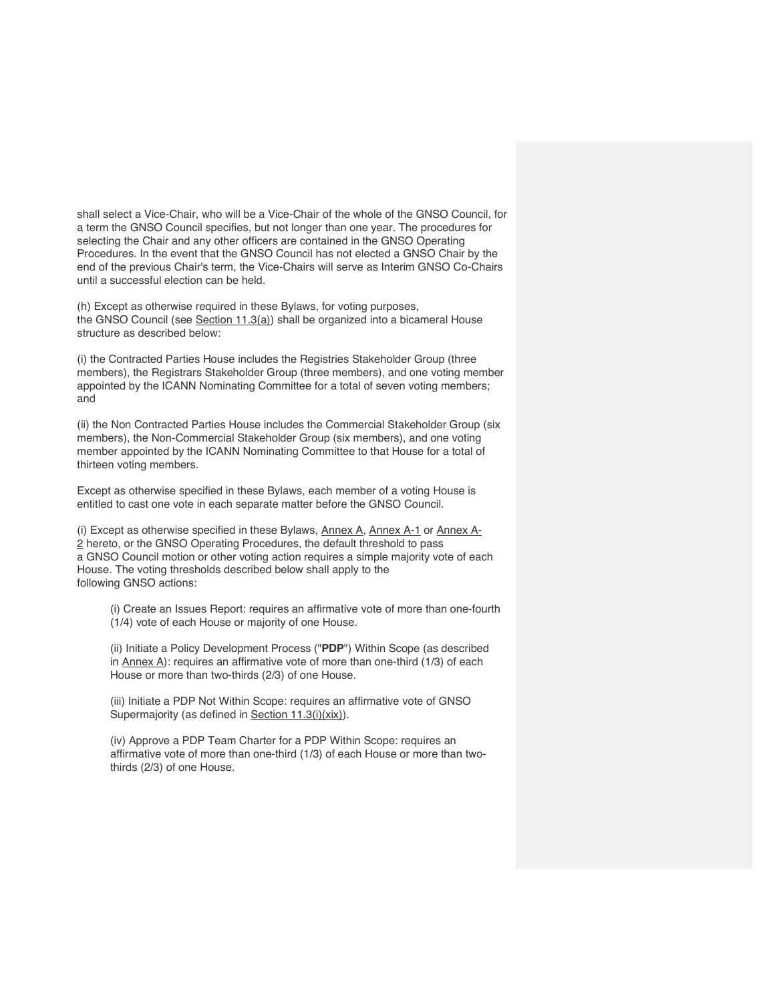shall select a Vice-Chair, who will be a Vice-Chair of the whole of the GNSO Council, for a term the GNSO Council specifies, but not longer than one year. The procedures for selecting the Chair and any other officers are contained in the GNSO Operating Procedures. In the event that the GNSO Council has not elected a GNSO Chair by the end of the previous Chair's term, the Vice-Chairs will serve as Interim GNSO Co-Chairs until a successful election can be held.

(h) Except as otherwise required in these Bylaws, for voting purposes, the GNSO Council (see  $Section 11.3(a)$ ) shall be organized into a bicameral House structure as described below:

(i) the Contracted Parties House includes the Registries Stakeholder Group (three members), the Registrars Stakeholder Group (three members), and one voting member appointed by the ICANN Nominating Committee for a total of seven voting members; and

(ii) the Non Contracted Parties House includes the Commercial Stakeholder Group (six members), the Non-Commercial Stakeholder Group (six members), and one voting member appointed by the ICANN Nominating Committee to that House for a total of thirteen voting members.

Except as otherwise specified in these Bylaws, each member of a voting House is entitled to cast one vote in each separate matter before the GNSO Council.

(i) Except as otherwise specified in these Bylaws,  $\Delta$ nnex  $\Delta$ ,  $\Delta$ nnex  $\Delta$ -1 or  $\Delta$ nnex  $\Delta$ -2 hereto, or the GNSO Operating Procedures, the default threshold to pass a GNSO Council motion or other voting action requires a simple majority vote of each House. The voting thresholds described below shall apply to the following GNSO actions:

(i) Create an Issues Report: requires an affirmative vote of more than one-fourth (1/4) vote of each House or majority of one House.

(ii) Initiate a Policy Development Process ("**PDP**") Within Scope (as described in Annex A): requires an affirmative vote of more than one-third (1/3) of each House or more than two-thirds (2/3) of one House.

(iii) Initiate a PDP Not Within Scope: requires an affirmative vote of GNSO Supermajority (as defined in Section 11.3(i)(xix)).

(iv) Approve a PDP Team Charter for a PDP Within Scope: requires an affirmative vote of more than one-third (1/3) of each House or more than twothirds (2/3) of one House.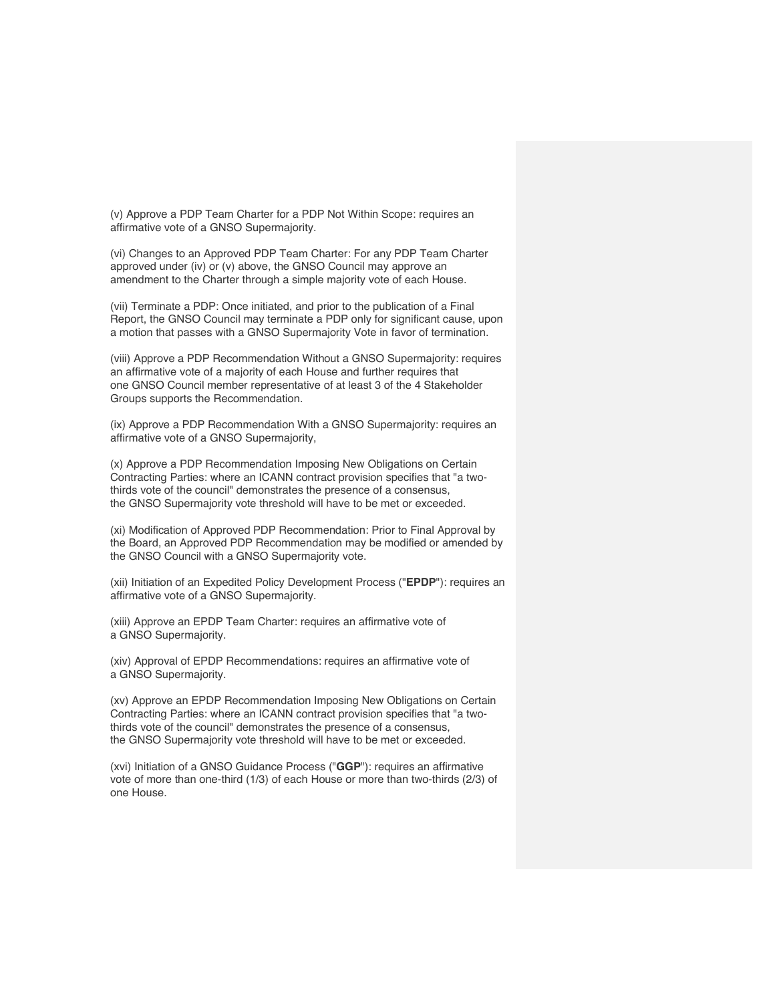(v) Approve a PDP Team Charter for a PDP Not Within Scope: requires an affirmative vote of a GNSO Supermajority.

(vi) Changes to an Approved PDP Team Charter: For any PDP Team Charter approved under (iv) or (v) above, the GNSO Council may approve an amendment to the Charter through a simple majority vote of each House.

(vii) Terminate a PDP: Once initiated, and prior to the publication of a Final Report, the GNSO Council may terminate a PDP only for significant cause, upon a motion that passes with a GNSO Supermajority Vote in favor of termination.

(viii) Approve a PDP Recommendation Without a GNSO Supermajority: requires an affirmative vote of a majority of each House and further requires that one GNSO Council member representative of at least 3 of the 4 Stakeholder Groups supports the Recommendation.

(ix) Approve a PDP Recommendation With a GNSO Supermajority: requires an affirmative vote of a GNSO Supermajority,

(x) Approve a PDP Recommendation Imposing New Obligations on Certain Contracting Parties: where an ICANN contract provision specifies that "a twothirds vote of the council" demonstrates the presence of a consensus, the GNSO Supermajority vote threshold will have to be met or exceeded.

(xi) Modification of Approved PDP Recommendation: Prior to Final Approval by the Board, an Approved PDP Recommendation may be modified or amended by the GNSO Council with a GNSO Supermajority vote.

(xii) Initiation of an Expedited Policy Development Process ("**EPDP**"): requires an affirmative vote of a GNSO Supermajority.

(xiii) Approve an EPDP Team Charter: requires an affirmative vote of a GNSO Supermajority.

(xiv) Approval of EPDP Recommendations: requires an affirmative vote of a GNSO Supermajority.

(xv) Approve an EPDP Recommendation Imposing New Obligations on Certain Contracting Parties: where an ICANN contract provision specifies that "a twothirds vote of the council" demonstrates the presence of a consensus, the GNSO Supermajority vote threshold will have to be met or exceeded.

(xvi) Initiation of a GNSO Guidance Process ("**GGP**"): requires an affirmative vote of more than one-third (1/3) of each House or more than two-thirds (2/3) of one House.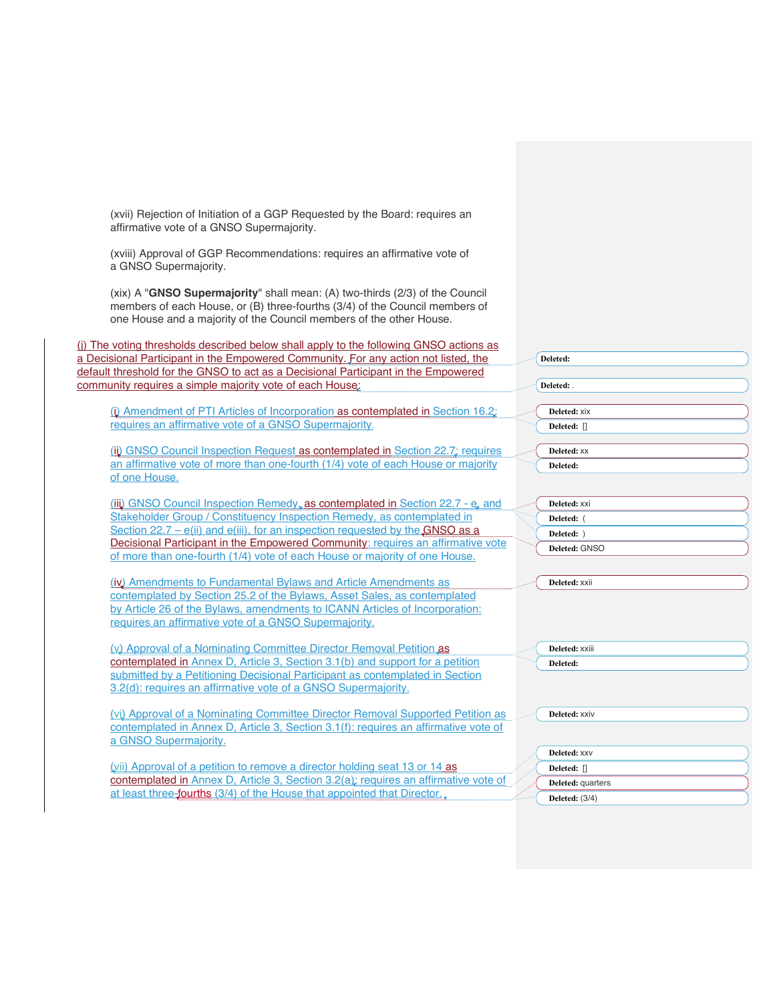| (xvii) Rejection of Initiation of a GGP Requested by the Board: requires an<br>affirmative vote of a GNSO Supermajority.                                                                                                           |                       |
|------------------------------------------------------------------------------------------------------------------------------------------------------------------------------------------------------------------------------------|-----------------------|
| (xviii) Approval of GGP Recommendations: requires an affirmative vote of<br>a GNSO Supermajority.                                                                                                                                  |                       |
| (xix) A "GNSO Supermajority" shall mean: (A) two-thirds (2/3) of the Council<br>members of each House, or (B) three-fourths (3/4) of the Council members of<br>one House and a majority of the Council members of the other House. |                       |
| (i) The voting thresholds described below shall apply to the following GNSO actions as                                                                                                                                             |                       |
| a Decisional Participant in the Empowered Community. For any action not listed, the                                                                                                                                                | Deleted:              |
| default threshold for the GNSO to act as a Decisional Participant in the Empowered                                                                                                                                                 |                       |
| community requires a simple majority vote of each House:                                                                                                                                                                           | Deleted:              |
|                                                                                                                                                                                                                                    |                       |
| (i) Amendment of PTI Articles of Incorporation as contemplated in Section 16.2;                                                                                                                                                    | Deleted: XiX          |
| requires an affirmative vote of a GNSO Supermajority.                                                                                                                                                                              | Deleted: []           |
|                                                                                                                                                                                                                                    |                       |
| (iii) GNSO Council Inspection Request as contemplated in Section 22.7; requires                                                                                                                                                    | Deleted: XX           |
| an affirmative vote of more than one-fourth (1/4) vote of each House or majority                                                                                                                                                   | Deleted:              |
| of one House.                                                                                                                                                                                                                      |                       |
|                                                                                                                                                                                                                                    |                       |
| (iii) GNSO Council Inspection Remedy, as contemplated in Section 22.7 - e, and                                                                                                                                                     | Deleted: XXI          |
| Stakeholder Group / Constituency Inspection Remedy, as contemplated in                                                                                                                                                             | Deleted: (            |
| Section $22.7 - e(ii)$ and $e(iii)$ , for an inspection requested by the GNSO as a<br>Decisional Participant in the Empowered Community: requires an affirmative vote                                                              | Deleted: )            |
| of more than one-fourth (1/4) vote of each House or majority of one House.                                                                                                                                                         | Deleted: GNSO         |
|                                                                                                                                                                                                                                    |                       |
| (iv) Amendments to Fundamental Bylaws and Article Amendments as                                                                                                                                                                    | Deleted: XXII         |
| contemplated by Section 25.2 of the Bylaws, Asset Sales, as contemplated                                                                                                                                                           |                       |
| by Article 26 of the Bylaws, amendments to ICANN Articles of Incorporation:                                                                                                                                                        |                       |
| requires an affirmative vote of a GNSO Supermajority.                                                                                                                                                                              |                       |
|                                                                                                                                                                                                                                    |                       |
| (v) Approval of a Nominating Committee Director Removal Petition as                                                                                                                                                                | Deleted: XXiii        |
| contemplated in Annex D, Article 3, Section 3.1(b) and support for a petition                                                                                                                                                      | Deleted:              |
| submitted by a Petitioning Decisional Participant as contemplated in Section                                                                                                                                                       |                       |
| 3.2(d): requires an affirmative vote of a GNSO Supermajority.                                                                                                                                                                      |                       |
|                                                                                                                                                                                                                                    |                       |
| (vi) Approval of a Nominating Committee Director Removal Supported Petition as                                                                                                                                                     | Deleted: XXIV         |
| contemplated in Annex D, Article 3, Section 3.1(f): requires an affirmative vote of                                                                                                                                                |                       |
| a GNSO Supermajority.                                                                                                                                                                                                              |                       |
|                                                                                                                                                                                                                                    | Deleted: XXV          |
| (vii) Approval of a petition to remove a director holding seat 13 or 14 as                                                                                                                                                         | Deleted: []           |
| contemplated in Annex D, Article 3, Section 3.2(a); requires an affirmative vote of                                                                                                                                                | Deleted: quarters     |
| at least three-fourths (3/4) of the House that appointed that Director.                                                                                                                                                            | <b>Deleted:</b> (3/4) |